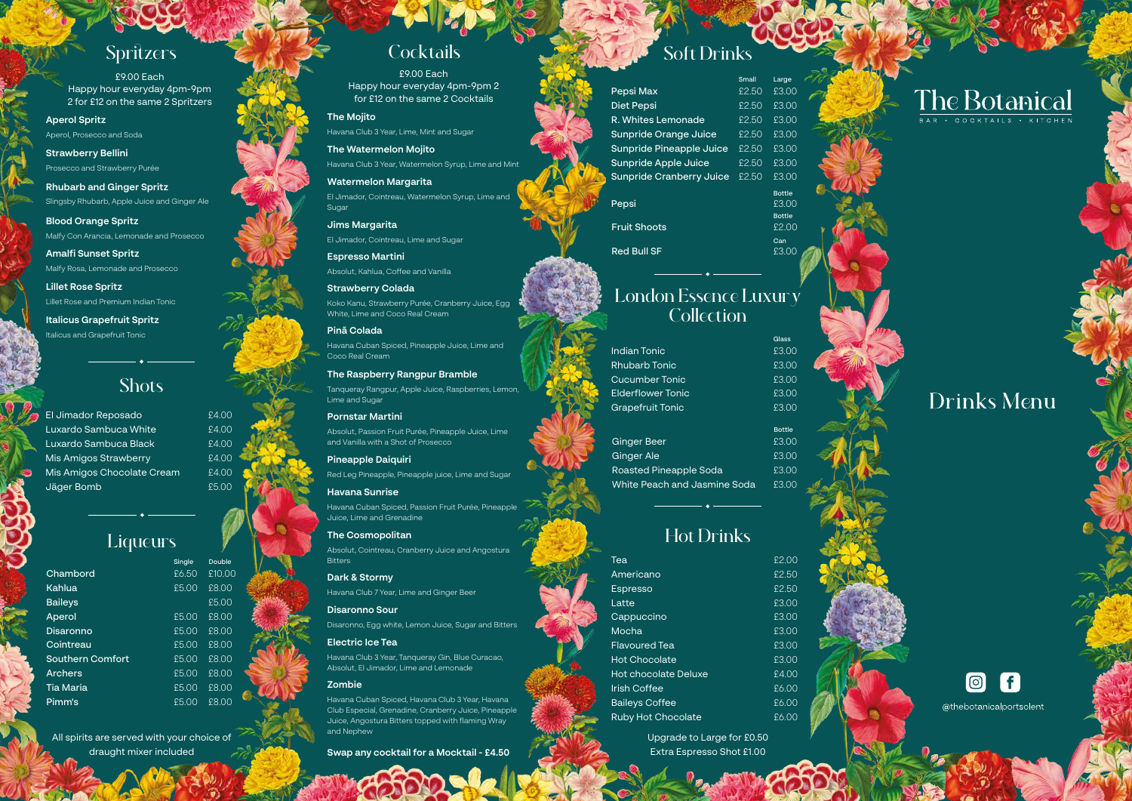### Shots

# Hot Drinks

Upgrade to Large for £0.50 Extra Espresso Shot £1.00



# Drinks Menu



@thebotanicalportsolent

| Tea                         | f2.00  |
|-----------------------------|--------|
| Americano                   | \$2.50 |
| <b>Espresso</b>             | \$2.50 |
| Latte                       | £3.00  |
| Cappuccino                  | £3.00  |
| Mocha                       | £3.00  |
| <b>Flavoured Tea</b>        | £3.00  |
| <b>Hot Chocolate</b>        | £3.00  |
| <b>Hot chocolate Deluxe</b> | f400   |
| <b>Irish Coffee</b>         | 66.00  |
| <b>Baileys Coffee</b>       | £6.00  |
| <b>Ruby Hot Chocolate</b>   | £6.00  |
|                             |        |

|                                 | Small  | Large                                            |  |
|---------------------------------|--------|--------------------------------------------------|--|
| Pepsi Max                       | £2.50  | £3.00                                            |  |
| <b>Diet Pepsi</b>               | \$2.50 | £3.00                                            |  |
| R. Whites Lemonade              | £2.50  | £3.00                                            |  |
| Sunpride Orange Juice           | £2.50  | £3.00                                            |  |
| Sunpride Pineapple Juice        | \$2.50 | £3.00                                            |  |
| Sunpride Apple Juice            | \$2.50 | £3.00                                            |  |
| <b>Sunpride Cranberry Juice</b> | \$2.50 | £3.00                                            |  |
| Pepsi<br><b>Fruit Shoots</b>    |        | <b>Bottle</b><br>£3.00<br><b>Bottle</b><br>£2.00 |  |
| Red Bull SF                     |        | Can<br>£3.0C                                     |  |

### London Essence Luxury **Collection**

|                              | Glass         |
|------------------------------|---------------|
| Indian Tonic                 | £3.00         |
| <b>Rhubarb Tonic</b>         | £3.00         |
| <b>Cucumber Tonic</b>        | £3.00         |
| <b>Flderflower Tonic</b>     | £3.00         |
| <b>Grapefruit Tonic</b>      | £3.00         |
|                              | <b>Bottle</b> |
| <b>Ginger Beer</b>           | £3.00         |
| <b>Ginger Ale</b>            | £3.00         |
| Roasted Pineapple Soda       | £3.00         |
| White Peach and Jasmine Soda | £3.00         |
|                              |               |

# Spritzers Cocktails

£9.00 Each Happy hour everyday 4pm-9pm 2 for £12 on the same 2 Spritzers

£9.00 Each Happy hour everyday 4pm-9pm 2 for £12 on the same 2 Cocktails

#### **The Mojito**

Havana Club 3 Year, Lime, Mint and Sugar

**The Watermelon Mojito** Havana Club 3 Year, Watermelon Syrup, Lime and Mint

**Watermelon Margarita** El Jimador, Cointreau, Watermelon Syrup, Lime and Sugar

**Jims Margarita** El Jimador, Cointreau, Lime and Sugar

**Espresso Martini** Absolut, Kahlua, Coffee and Vanilla

**Lillet Rose Spritz** Lillet Rose and Premium Indian Tonic

**Strawberry Colada** Koko Kanu, Strawberry Purée, Cranberry Juice, Egg White, Lime and Coco Real Cream

**Pinã Colada** Havana Cuban Spiced, Pineapple Juice, Lime and

Coco Real Cream

**The Raspberry Rangpur Bramble** Tanqueray Rangpur, Apple Juice, Raspberries, Lemon, Lime and Sugar

### **Pornstar Martini**

Absolut, Passion Fruit Purée, Pineapple Juice, Lime and Vanilla with a Shot of Prosecco

### **Pineapple Daiquiri**

Red Leg Pineapple, Pineapple juice, Lime and Sugar

#### **Havana Sunrise**

Havana Cuban Spiced, Passion Fruit Purée, Pineapple Juice, Lime and Grenadine

**The Cosmopolitan** Absolut, Cointreau, Cranberry Juice and Angostura Bitters

**Dark & Stormy** Havana Club 7 Year, Lime and Ginger Beer

#### **Disaronno Sour**

Disaronno, Egg white, Lemon Juice, Sugar and Bitters

### **Electric Ice Tea**

Havana Club 3 Year, Tanqueray Gin, Blue Curacao, Absolut, El Jimador, Lime and Lemonade

### **Zombie**

Havana Cuban Spiced, Havana Club 3 Year, Havana Club Especial, Grenadine, Cranberry Juice, Pineapple Juice, Angostura Bitters topped with flaming Wray and Nephew

**Swap any cocktail for a Mocktail - £4.50**

# Soft Drinks

**Aperol Spritz**

Aperol, Prosecco and Soda

**Strawberry Bellini** Prosecco and Strawberry Purée

**Rhubarb and Ginger Spritz** Slingsby Rhubarb, Apple Juice and Ginger Ale

**Blood Orange Spritz** Malfy Con Arancia, Lemonade and Prosecco

**Amalfi Sunset Spritz** Malfy Rosa, Lemonade and Prosecco

**Italicus Grapefruit Spritz** Italicus and Grapefruit Tonic

El Jimador Reposado Luxardo Sambuca White Luxardo Sambuca Black Mis Amigos Strawberry Mis Amigos Chocolate Cream Jäger Bomb

## Liqueurs

£4.00 £4.00 £4.00 £4.00 £4.00 £5.00

|                  | Single | <b>Double</b> |  |
|------------------|--------|---------------|--|
| Chambord         | £6.50  | £10.00        |  |
| Kahlua           | E5.00  | £8.00         |  |
| <b>Baileys</b>   |        | £5.00         |  |
| Aperol           | £5.00  | £8.00         |  |
| <b>Disaronno</b> | £5.00  | £8.00         |  |
| Cointreau        | £5.00  | £8.00         |  |
| Southern Comfort | £5.00  | £8.00         |  |
| <b>Archers</b>   | E5.00  | £8.00         |  |
| <b>Tia Maria</b> | £5.00  | £8.00         |  |
| Pimm's           | £5.00  | £8.00         |  |

All spirits are served with your choice of draught mixer included